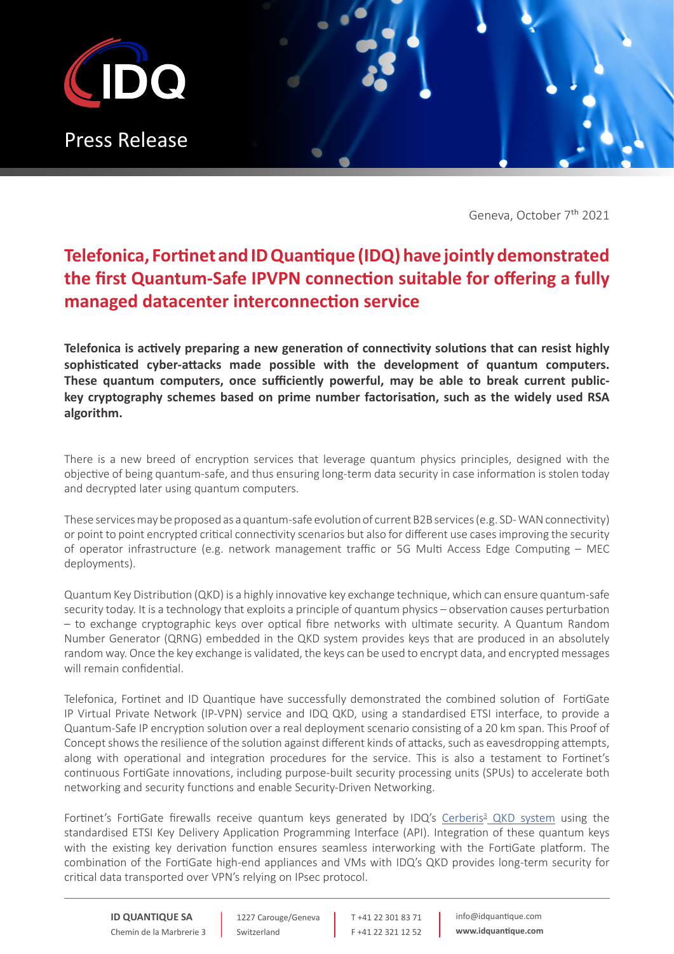

Geneva, October 7<sup>th</sup> 2021

### **Telefonica, Fortinet and ID Quantique (IDQ) have jointly demonstrated the first Quantum-Safe IPVPN connection suitable for offering a fully managed datacenter interconnection service**

**Telefonica is actively preparing a new generation of connectivity solutions that can resist highly sophisticated cyber-attacks made possible with the development of quantum computers. These quantum computers, once sufficiently powerful, may be able to break current publickey cryptography schemes based on prime number factorisation, such as the widely used RSA algorithm.** 

There is a new breed of encryption services that leverage quantum physics principles, designed with the objective of being quantum-safe, and thus ensuring long-term data security in case information is stolen today and decrypted later using quantum computers.

These services may be proposed as a quantum-safe evolution of current B2B services (e.g. SD- WAN connectivity) or point to point encrypted critical connectivity scenarios but also for different use cases improving the security of operator infrastructure (e.g. network management traffic or 5G Multi Access Edge Computing – MEC deployments).

Quantum Key Distribution (QKD) is a highly innovative key exchange technique, which can ensure quantum-safe security today. It is a technology that exploits a principle of quantum physics – observation causes perturbation – to exchange cryptographic keys over optical fibre networks with ultimate security. A Quantum Random Number Generator (QRNG) embedded in the QKD system provides keys that are produced in an absolutely random way. Once the key exchange is validated, the keys can be used to encrypt data, and encrypted messages will remain confidential.

Telefonica, Fortinet and ID Quantique have successfully demonstrated the combined solution of FortiGate IP Virtual Private Network (IP-VPN) service and IDQ QKD, using a standardised ETSI interface, to provide a Quantum-Safe IP encryption solution over a real deployment scenario consisting of a 20 km span. This Proof of Concept shows the resilience of the solution against different kinds of attacks, such as eavesdropping attempts, along with operational and integration procedures for the service. This is also a testament to Fortinet's continuous FortiGate innovations, including purpose-built security processing units (SPUs) to accelerate both networking and security functions and enable Security-Driven Networking.

Fortinet's FortiGate firewalls receive quantum keys generated by IDQ's Cerberis<sup>3</sup> [QKD system](https://www.idquantique.com/quantum-safe-security/products/cerberis3-qkd-system/) using the standardised ETSI Key Delivery Application Programming Interface (API). Integration of these quantum keys with the existing key derivation function ensures seamless interworking with the FortiGate platform. The combination of the FortiGate high-end appliances and VMs with IDQ's QKD provides long-term security for critical data transported over VPN's relying on IPsec protocol.

**ID QUANTIQUE SA** Chemin de la Marbrerie 3

1227 Carouge/Geneva Switzerland

T +41 22 301 83 71 F +41 22 321 12 52 info@idquantique.com **www.idquantique.com**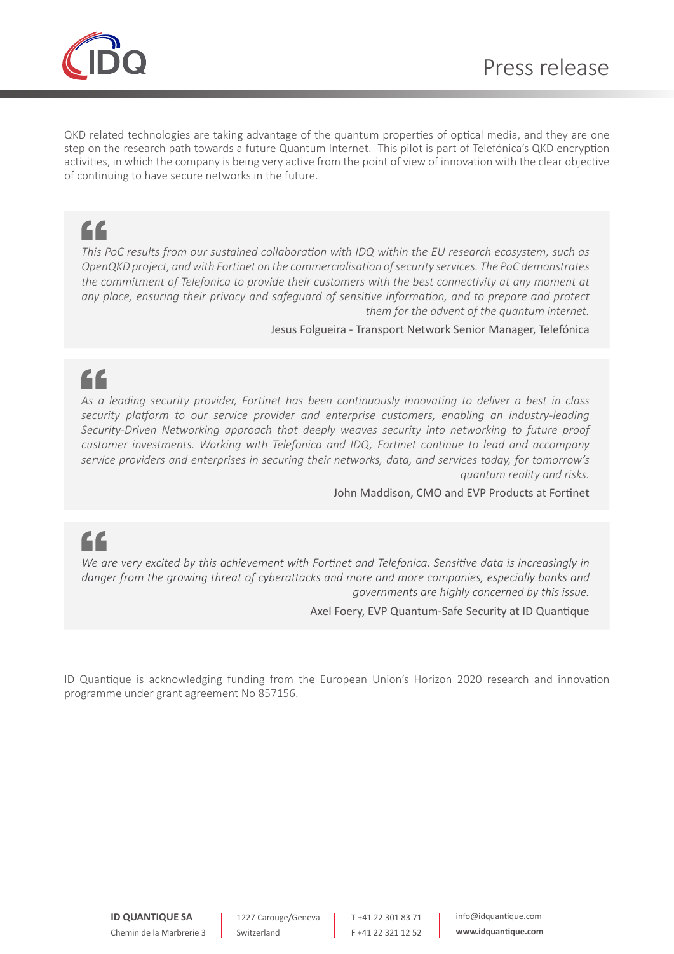

QKD related technologies are taking advantage of the quantum properties of optical media, and they are one step on the research path towards a future Quantum Internet. This pilot is part of Telefónica's QKD encryption activities, in which the company is being very active from the point of view of innovation with the clear objective of continuing to have secure networks in the future.

### "

*This PoC results from our sustained collaboration with IDQ within the EU research ecosystem, such as OpenQKD project, and with Fortinet on the commercialisation of security services. The PoC demonstrates the commitment of Telefonica to provide their customers with the best connectivity at any moment at any place, ensuring their privacy and safeguard of sensitive information, and to prepare and protect them for the advent of the quantum internet.*

Jesus Folgueira - Transport Network Senior Manager, Telefónica

# "

*As a leading security provider, Fortinet has been continuously innovating to deliver a best in class security platform to our service provider and enterprise customers, enabling an industry-leading Security-Driven Networking approach that deeply weaves security into networking to future proof customer investments. Working with Telefonica and IDQ, Fortinet continue to lead and accompany service providers and enterprises in securing their networks, data, and services today, for tomorrow's quantum reality and risks.*

John Maddison, CMO and EVP Products at Fortinet

## "

*We are very excited by this achievement with Fortinet and Telefonica. Sensitive data is increasingly in danger from the growing threat of cyberattacks and more and more companies, especially banks and governments are highly concerned by this issue.*

Axel Foery, EVP Quantum-Safe Security at ID Quantique

ID Quantique is acknowledging funding from the European Union's Horizon 2020 research and innovation programme under grant agreement No 857156.